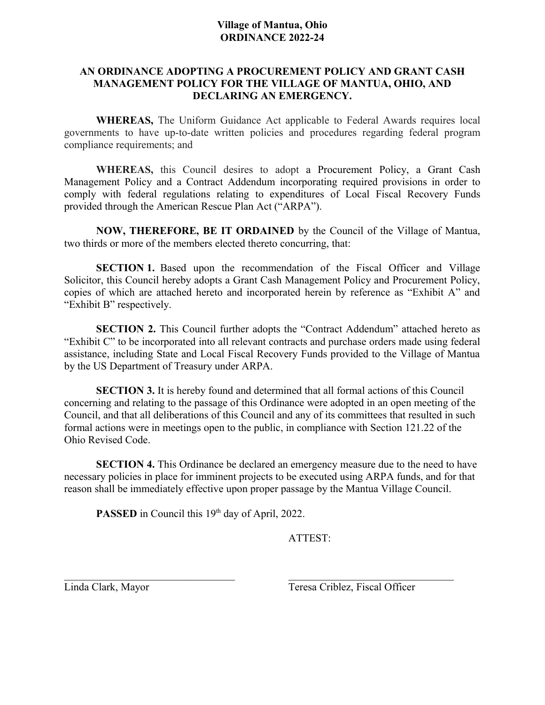## **AN ORDINANCE ADOPTING A PROCUREMENT POLICY AND GRANT CASH MANAGEMENT POLICY FOR THE VILLAGE OF MANTUA, OHIO, AND DECLARING AN EMERGENCY.**

**WHEREAS,** The Uniform Guidance Act applicable to Federal Awards requires local governments to have up-to-date written policies and procedures regarding federal program compliance requirements; and

**WHEREAS,** this Council desires to adopt a Procurement Policy, a Grant Cash Management Policy and a Contract Addendum incorporating required provisions in order to comply with federal regulations relating to expenditures of Local Fiscal Recovery Funds provided through the American Rescue Plan Act ("ARPA").

**NOW, THEREFORE, BE IT ORDAINED** by the Council of the Village of Mantua, two thirds or more of the members elected thereto concurring, that:

**SECTION 1.** Based upon the recommendation of the Fiscal Officer and Village Solicitor, this Council hereby adopts a Grant Cash Management Policy and Procurement Policy, copies of which are attached hereto and incorporated herein by reference as "Exhibit A" and "Exhibit B" respectively.

**SECTION 2.** This Council further adopts the "Contract Addendum" attached hereto as "Exhibit C" to be incorporated into all relevant contracts and purchase orders made using federal assistance, including State and Local Fiscal Recovery Funds provided to the Village of Mantua by the US Department of Treasury under ARPA.

**SECTION 3.** It is hereby found and determined that all formal actions of this Council concerning and relating to the passage of this Ordinance were adopted in an open meeting of the Council, and that all deliberations of this Council and any of its committees that resulted in such formal actions were in meetings open to the public, in compliance with Section 121.22 of the Ohio Revised Code.

**SECTION 4.** This Ordinance be declared an emergency measure due to the need to have necessary policies in place for imminent projects to be executed using ARPA funds, and for that reason shall be immediately effective upon proper passage by the Mantua Village Council.

 $\mathcal{L}_\text{max}$  , and the contribution of the contribution of the contribution of the contribution of the contribution of the contribution of the contribution of the contribution of the contribution of the contribution of t

PASSED in Council this 19<sup>th</sup> day of April, 2022.

ATTEST:

Linda Clark, Mayor Teresa Criblez, Fiscal Officer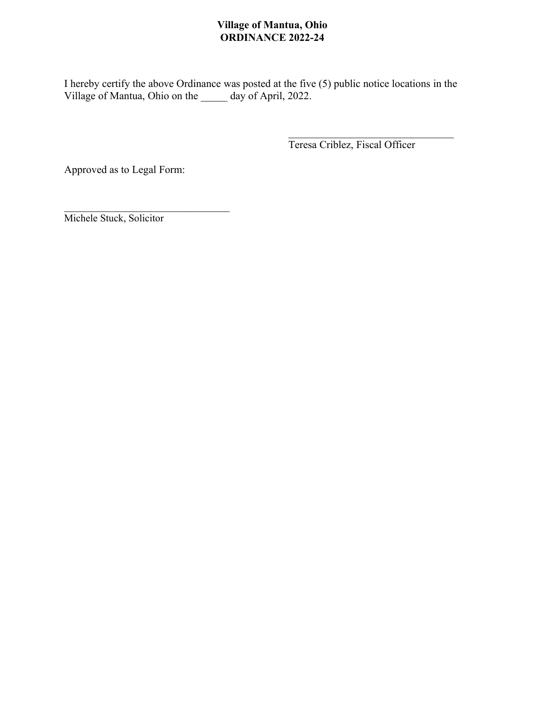I hereby certify the above Ordinance was posted at the five (5) public notice locations in the Village of Mantua, Ohio on the \_\_\_\_\_ day of April, 2022.

Teresa Criblez, Fiscal Officer

Approved as to Legal Form:

 $\mathcal{L}_\text{max}$  , where  $\mathcal{L}_\text{max}$  and  $\mathcal{L}_\text{max}$ Michele Stuck, Solicitor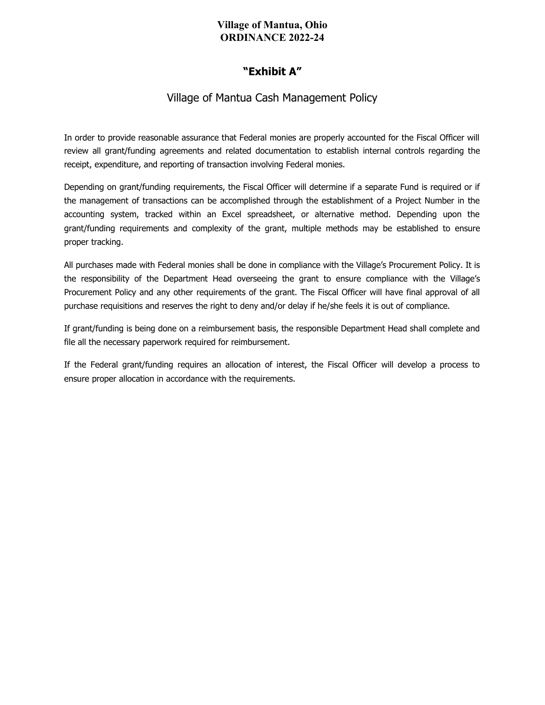# **"Exhibit A"**

# Village of Mantua Cash Management Policy

In order to provide reasonable assurance that Federal monies are properly accounted for the Fiscal Officer will review all grant/funding agreements and related documentation to establish internal controls regarding the receipt, expenditure, and reporting of transaction involving Federal monies.

Depending on grant/funding requirements, the Fiscal Officer will determine if a separate Fund is required or if the management of transactions can be accomplished through the establishment of a Project Number in the accounting system, tracked within an Excel spreadsheet, or alternative method. Depending upon the grant/funding requirements and complexity of the grant, multiple methods may be established to ensure proper tracking.

All purchases made with Federal monies shall be done in compliance with the Village's Procurement Policy. It is the responsibility of the Department Head overseeing the grant to ensure compliance with the Village's Procurement Policy and any other requirements of the grant. The Fiscal Officer will have final approval of all purchase requisitions and reserves the right to deny and/or delay if he/she feels it is out of compliance.

If grant/funding is being done on a reimbursement basis, the responsible Department Head shall complete and file all the necessary paperwork required for reimbursement.

If the Federal grant/funding requires an allocation of interest, the Fiscal Officer will develop a process to ensure proper allocation in accordance with the requirements.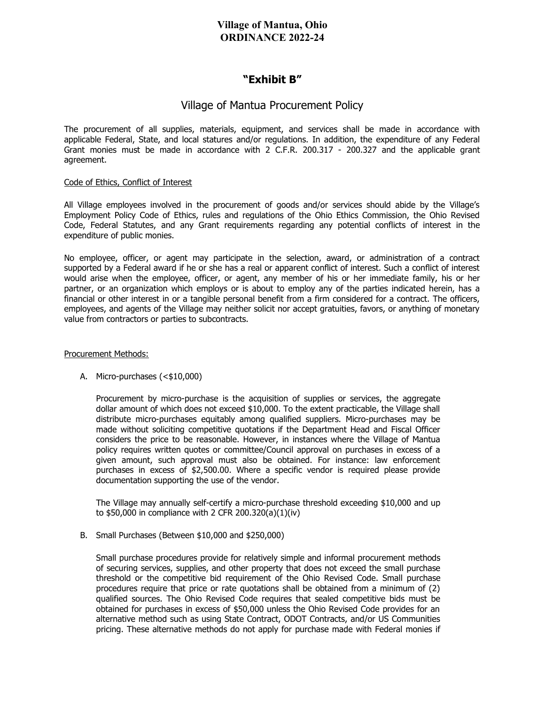# **"Exhibit B"**

# Village of Mantua Procurement Policy

The procurement of all supplies, materials, equipment, and services shall be made in accordance with applicable Federal, State, and local statures and/or regulations. In addition, the expenditure of any Federal Grant monies must be made in accordance with 2 C.F.R. 200.317 - 200.327 and the applicable grant agreement.

#### Code of Ethics, Conflict of Interest

All Village employees involved in the procurement of goods and/or services should abide by the Village's Employment Policy Code of Ethics, rules and regulations of the Ohio Ethics Commission, the Ohio Revised Code, Federal Statutes, and any Grant requirements regarding any potential conflicts of interest in the expenditure of public monies.

No employee, officer, or agent may participate in the selection, award, or administration of a contract supported by a Federal award if he or she has a real or apparent conflict of interest. Such a conflict of interest would arise when the employee, officer, or agent, any member of his or her immediate family, his or her partner, or an organization which employs or is about to employ any of the parties indicated herein, has a financial or other interest in or a tangible personal benefit from a firm considered for a contract. The officers, employees, and agents of the Village may neither solicit nor accept gratuities, favors, or anything of monetary value from contractors or parties to subcontracts.

#### Procurement Methods:

#### A. Micro-purchases (<\$10,000)

Procurement by micro-purchase is the acquisition of supplies or services, the aggregate dollar amount of which does not exceed \$10,000. To the extent practicable, the Village shall distribute micro-purchases equitably among qualified suppliers. Micro-purchases may be made without soliciting competitive quotations if the Department Head and Fiscal Officer considers the price to be reasonable. However, in instances where the Village of Mantua policy requires written quotes or committee/Council approval on purchases in excess of a given amount, such approval must also be obtained. For instance: law enforcement purchases in excess of \$2,500.00. Where a specific vendor is required please provide documentation supporting the use of the vendor.

The Village may annually self-certify a micro-purchase threshold exceeding \$10,000 and up to \$50,000 in compliance with 2 CFR 200.320(a)(1)(iv)

B. Small Purchases (Between \$10,000 and \$250,000)

Small purchase procedures provide for relatively simple and informal procurement methods of securing services, supplies, and other property that does not exceed the small purchase threshold or the competitive bid requirement of the Ohio Revised Code. Small purchase procedures require that price or rate quotations shall be obtained from a minimum of (2) qualified sources. The Ohio Revised Code requires that sealed competitive bids must be obtained for purchases in excess of \$50,000 unless the Ohio Revised Code provides for an alternative method such as using State Contract, ODOT Contracts, and/or US Communities pricing. These alternative methods do not apply for purchase made with Federal monies if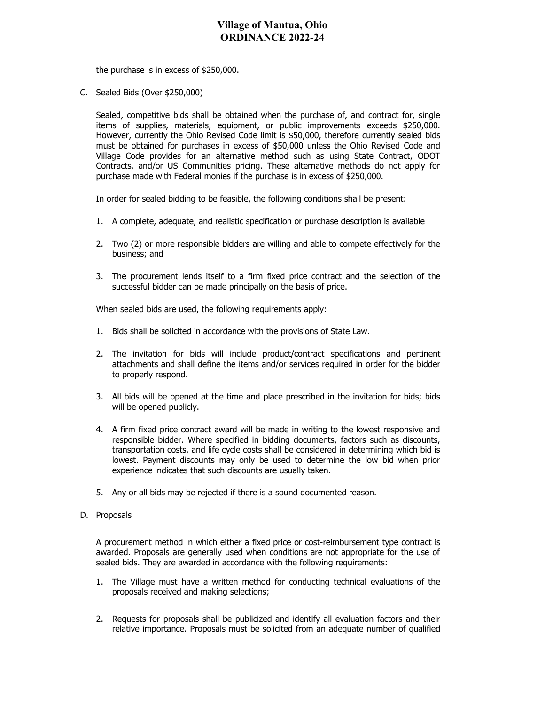the purchase is in excess of \$250,000.

C. Sealed Bids (Over \$250,000)

Sealed, competitive bids shall be obtained when the purchase of, and contract for, single items of supplies, materials, equipment, or public improvements exceeds \$250,000. However, currently the Ohio Revised Code limit is \$50,000, therefore currently sealed bids must be obtained for purchases in excess of \$50,000 unless the Ohio Revised Code and Village Code provides for an alternative method such as using State Contract, ODOT Contracts, and/or US Communities pricing. These alternative methods do not apply for purchase made with Federal monies if the purchase is in excess of \$250,000.

In order for sealed bidding to be feasible, the following conditions shall be present:

- 1. A complete, adequate, and realistic specification or purchase description is available
- 2. Two (2) or more responsible bidders are willing and able to compete effectively for the business; and
- 3. The procurement lends itself to a firm fixed price contract and the selection of the successful bidder can be made principally on the basis of price.

When sealed bids are used, the following requirements apply:

- 1. Bids shall be solicited in accordance with the provisions of State Law.
- 2. The invitation for bids will include product/contract specifications and pertinent attachments and shall define the items and/or services required in order for the bidder to properly respond.
- 3. All bids will be opened at the time and place prescribed in the invitation for bids; bids will be opened publicly.
- 4. A firm fixed price contract award will be made in writing to the lowest responsive and responsible bidder. Where specified in bidding documents, factors such as discounts, transportation costs, and life cycle costs shall be considered in determining which bid is lowest. Payment discounts may only be used to determine the low bid when prior experience indicates that such discounts are usually taken.
- 5. Any or all bids may be rejected if there is a sound documented reason.
- D. Proposals

A procurement method in which either a fixed price or cost-reimbursement type contract is awarded. Proposals are generally used when conditions are not appropriate for the use of sealed bids. They are awarded in accordance with the following requirements:

- 1. The Village must have a written method for conducting technical evaluations of the proposals received and making selections;
- 2. Requests for proposals shall be publicized and identify all evaluation factors and their relative importance. Proposals must be solicited from an adequate number of qualified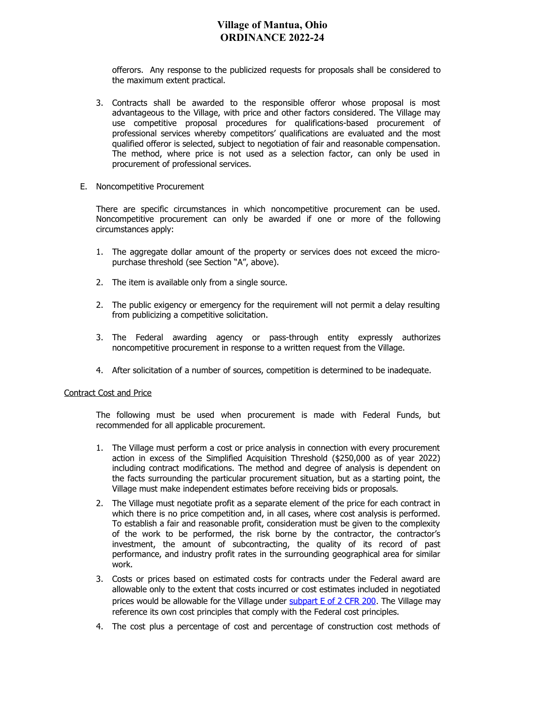offerors. Any response to the publicized requests for proposals shall be considered to the maximum extent practical.

- 3. Contracts shall be awarded to the responsible offeror whose proposal is most advantageous to the Village, with price and other factors considered. The Village may use competitive proposal procedures for qualifications-based procurement of professional services whereby competitors' qualifications are evaluated and the most qualified offeror is selected, subject to negotiation of fair and reasonable compensation. The method, where price is not used as a selection factor, can only be used in procurement of professional services.
- E. Noncompetitive Procurement

There are specific circumstances in which noncompetitive procurement can be used. Noncompetitive procurement can only be awarded if one or more of the following circumstances apply:

- 1. The aggregate dollar amount of the property or services does not exceed the micropurchase threshold (see Section "A", above).
- 2. The item is available only from a single source.
- 2. The public exigency or emergency for the requirement will not permit a delay resulting from publicizing a competitive solicitation.
- 3. The Federal awarding agency or pass-through entity expressly authorizes noncompetitive procurement in response to a written request from the Village.
- 4. After solicitation of a number of sources, competition is determined to be inadequate.

#### Contract Cost and Price

The following must be used when procurement is made with Federal Funds, but recommended for all applicable procurement.

- 1. The Village must perform a cost or price analysis in connection with every procurement action in excess of the Simplified Acquisition Threshold (\$250,000 as of year 2022) including contract modifications. The method and degree of analysis is dependent on the facts surrounding the particular procurement situation, but as a starting point, the Village must make independent estimates before receiving bids or proposals.
- 2. The Village must negotiate profit as a separate element of the price for each contract in which there is no price competition and, in all cases, where cost analysis is performed. To establish a fair and reasonable profit, consideration must be given to the complexity of the work to be performed, the risk borne by the contractor, the contractor's investment, the amount of subcontracting, the quality of its record of past performance, and industry profit rates in the surrounding geographical area for similar work.
- 3. Costs or prices based on estimated costs for contracts under the Federal award are allowable only to the extent that costs incurred or cost estimates included in negotiated prices would be allowable for the Village under subpart  $E$  of 2 CFR 200. The Village may reference its own cost principles that comply with the Federal cost principles.
- 4. The cost plus a percentage of cost and percentage of construction cost methods of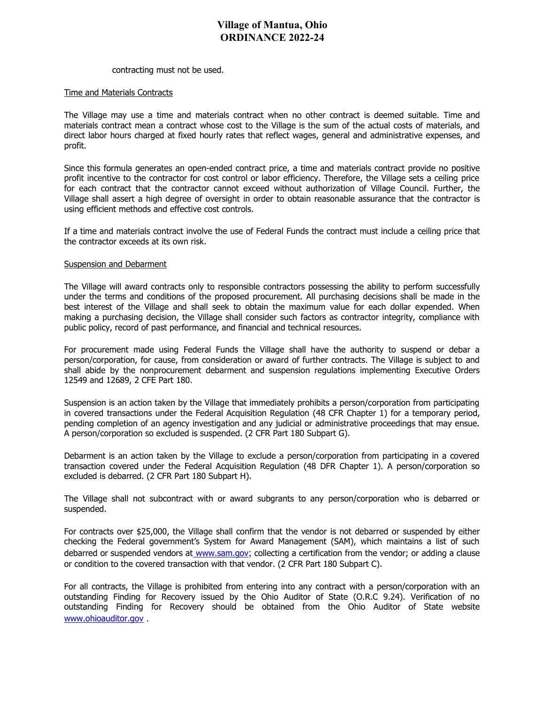#### contracting must not be used.

#### Time and Materials Contracts

The Village may use a time and materials contract when no other contract is deemed suitable. Time and materials contract mean a contract whose cost to the Village is the sum of the actual costs of materials, and direct labor hours charged at fixed hourly rates that reflect wages, general and administrative expenses, and profit.

Since this formula generates an open‐ended contract price, a time and materials contract provide no positive profit incentive to the contractor for cost control or labor efficiency. Therefore, the Village sets a ceiling price for each contract that the contractor cannot exceed without authorization of Village Council. Further, the Village shall assert a high degree of oversight in order to obtain reasonable assurance that the contractor is using efficient methods and effective cost controls.

If a time and materials contract involve the use of Federal Funds the contract must include a ceiling price that the contractor exceeds at its own risk.

#### Suspension and Debarment

The Village will award contracts only to responsible contractors possessing the ability to perform successfully under the terms and conditions of the proposed procurement. All purchasing decisions shall be made in the best interest of the Village and shall seek to obtain the maximum value for each dollar expended. When making a purchasing decision, the Village shall consider such factors as contractor integrity, compliance with public policy, record of past performance, and financial and technical resources.

For procurement made using Federal Funds the Village shall have the authority to suspend or debar a person/corporation, for cause, from consideration or award of further contracts. The Village is subject to and shall abide by the nonprocurement debarment and suspension regulations implementing Executive Orders 12549 and 12689, 2 CFE Part 180.

Suspension is an action taken by the Village that immediately prohibits a person/corporation from participating in covered transactions under the Federal Acquisition Regulation (48 CFR Chapter 1) for a temporary period, pending completion of an agency investigation and any judicial or administrative proceedings that may ensue. A person/corporation so excluded is suspended. (2 CFR Part 180 Subpart G).

Debarment is an action taken by the Village to exclude a person/corporation from participating in a covered transaction covered under the Federal Acquisition Regulation (48 DFR Chapter 1). A person/corporation so excluded is debarred. (2 CFR Part 180 Subpart H).

The Village shall not subcontract with or award subgrants to any person/corporation who is debarred or suspended.

For contracts over \$25,000, the Village shall confirm that the vendor is not debarred or suspended by either checking the Federal government's System for Award Management (SAM), which maintains a list of such debarred or suspended vendors at [www.sam.gov](http://www.sam.gov/); collecting a certification from the vendor; or adding a clause or condition to the covered transaction with that vendor. (2 CFR Part 180 Subpart C).

For all contracts, the Village is prohibited from entering into any contract with a person/corporation with an outstanding Finding for Recovery issued by the Ohio Auditor of State (O.R.C 9.24). Verification of no outstanding Finding for Recovery should be obtained from the Ohio Auditor of State website [www.ohioauditor.gov](http://www.ohioauditor.gov/) .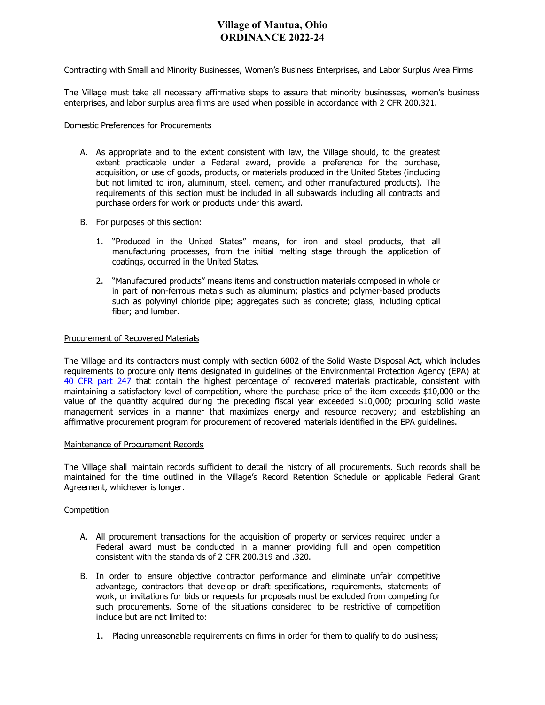#### Contracting with Small and Minority Businesses, Women's Business Enterprises, and Labor Surplus Area Firms

The Village must take all necessary affirmative steps to assure that minority businesses, women's business enterprises, and labor surplus area firms are used when possible in accordance with 2 CFR 200.321.

#### Domestic Preferences for Procurements

- A. As appropriate and to the extent consistent with law, the Village should, to the greatest extent practicable under a Federal award, provide a preference for the purchase, acquisition, or use of goods, products, or materials produced in the United States (including but not limited to iron, aluminum, steel, cement, and other manufactured products). The requirements of this section must be included in all subawards including all contracts and purchase orders for work or products under this award.
- B. For purposes of this section:
	- 1. "Produced in the United States" means, for iron and steel products, that all manufacturing processes, from the initial melting stage through the application of coatings, occurred in the United States.
	- 2. "Manufactured products" means items and construction materials composed in whole or in part of non-ferrous metals such as aluminum; plastics and polymer-based products such as polyvinyl chloride pipe; aggregates such as concrete; glass, including optical fiber; and lumber.

#### Procurement of Recovered Materials

The Village and its contractors must comply with section 6002 of the Solid Waste Disposal Act, which includes requirements to procure only items designated in guidelines of the Environmental Protection Agency (EPA) at [40 CFR part 247](https://www.ecfr.gov/current/title-40/part-247) that contain the highest percentage of recovered materials practicable, consistent with maintaining a satisfactory level of competition, where the purchase price of the item exceeds \$10,000 or the value of the quantity acquired during the preceding fiscal year exceeded \$10,000; procuring solid waste management services in a manner that maximizes energy and resource recovery; and establishing an affirmative procurement program for procurement of recovered materials identified in the EPA guidelines.

#### Maintenance of Procurement Records

The Village shall maintain records sufficient to detail the history of all procurements. Such records shall be maintained for the time outlined in the Village's Record Retention Schedule or applicable Federal Grant Agreement, whichever is longer.

#### **Competition**

- A. All procurement transactions for the acquisition of property or services required under a Federal award must be conducted in a manner providing full and open competition consistent with the standards of 2 CFR 200.319 and .320.
- B. In order to ensure objective contractor performance and eliminate unfair competitive advantage, contractors that develop or draft specifications, requirements, statements of work, or invitations for bids or requests for proposals must be excluded from competing for such procurements. Some of the situations considered to be restrictive of competition include but are not limited to:
	- 1. Placing unreasonable requirements on firms in order for them to qualify to do business;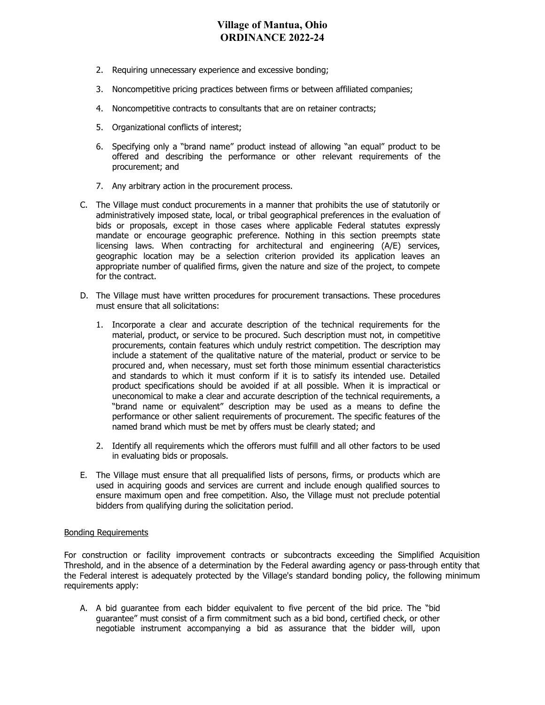- 2. Requiring unnecessary experience and excessive bonding;
- 3. Noncompetitive pricing practices between firms or between affiliated companies;
- 4. Noncompetitive contracts to consultants that are on retainer contracts;
- 5. Organizational conflicts of interest;
- 6. Specifying only a "brand name" product instead of allowing "an equal" product to be offered and describing the performance or other relevant requirements of the procurement; and
- 7. Any arbitrary action in the procurement process.
- C. The Village must conduct procurements in a manner that prohibits the use of statutorily or administratively imposed state, local, or tribal geographical preferences in the evaluation of bids or proposals, except in those cases where applicable Federal statutes expressly mandate or encourage geographic preference. Nothing in this section preempts state licensing laws. When contracting for architectural and engineering (A/E) services, geographic location may be a selection criterion provided its application leaves an appropriate number of qualified firms, given the nature and size of the project, to compete for the contract.
- D. The Village must have written procedures for procurement transactions. These procedures must ensure that all solicitations:
	- 1. Incorporate a clear and accurate description of the technical requirements for the material, product, or service to be procured. Such description must not, in competitive procurements, contain features which unduly restrict competition. The description may include a statement of the qualitative nature of the material, product or service to be procured and, when necessary, must set forth those minimum essential characteristics and standards to which it must conform if it is to satisfy its intended use. Detailed product specifications should be avoided if at all possible. When it is impractical or uneconomical to make a clear and accurate description of the technical requirements, a "brand name or equivalent" description may be used as a means to define the performance or other salient requirements of procurement. The specific features of the named brand which must be met by offers must be clearly stated; and
	- 2. Identify all requirements which the offerors must fulfill and all other factors to be used in evaluating bids or proposals.
- E. The Village must ensure that all prequalified lists of persons, firms, or products which are used in acquiring goods and services are current and include enough qualified sources to ensure maximum open and free competition. Also, the Village must not preclude potential bidders from qualifying during the solicitation period.

#### Bonding Requirements

For construction or facility improvement contracts or subcontracts exceeding the Simplified Acquisition Threshold, and in the absence of a determination by the Federal awarding agency or pass-through entity that the Federal interest is adequately protected by the Village's standard bonding policy, the following minimum requirements apply:

A. A bid guarantee from each bidder equivalent to five percent of the bid price. The "bid guarantee" must consist of a firm commitment such as a bid bond, certified check, or other negotiable instrument accompanying a bid as assurance that the bidder will, upon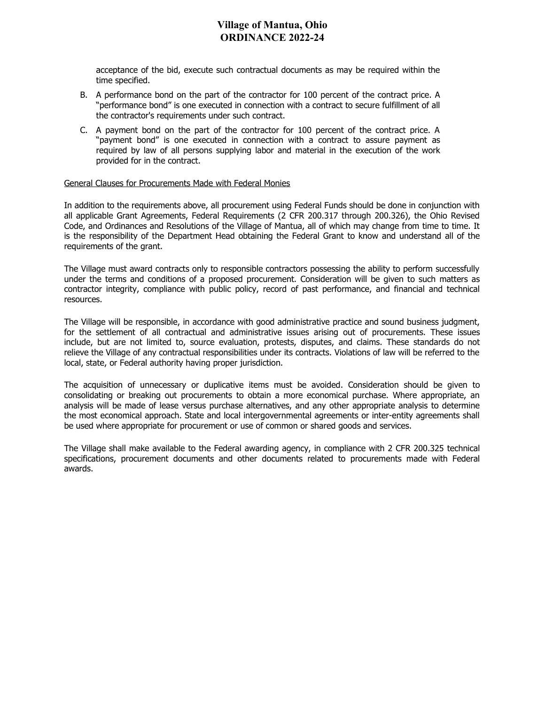acceptance of the bid, execute such contractual documents as may be required within the time specified.

- B. A performance bond on the part of the contractor for 100 percent of the contract price. A "performance bond" is one executed in connection with a contract to secure fulfillment of all the contractor's requirements under such contract.
- C. A payment bond on the part of the contractor for 100 percent of the contract price. A "payment bond" is one executed in connection with a contract to assure payment as required by law of all persons supplying labor and material in the execution of the work provided for in the contract.

#### General Clauses for Procurements Made with Federal Monies

In addition to the requirements above, all procurement using Federal Funds should be done in conjunction with all applicable Grant Agreements, Federal Requirements (2 CFR 200.317 through 200.326), the Ohio Revised Code, and Ordinances and Resolutions of the Village of Mantua, all of which may change from time to time. It is the responsibility of the Department Head obtaining the Federal Grant to know and understand all of the requirements of the grant.

The Village must award contracts only to responsible contractors possessing the ability to perform successfully under the terms and conditions of a proposed procurement. Consideration will be given to such matters as contractor integrity, compliance with public policy, record of past performance, and financial and technical resources.

The Village will be responsible, in accordance with good administrative practice and sound business judgment, for the settlement of all contractual and administrative issues arising out of procurements. These issues include, but are not limited to, source evaluation, protests, disputes, and claims. These standards do not relieve the Village of any contractual responsibilities under its contracts. Violations of law will be referred to the local, state, or Federal authority having proper jurisdiction.

The acquisition of unnecessary or duplicative items must be avoided. Consideration should be given to consolidating or breaking out procurements to obtain a more economical purchase. Where appropriate, an analysis will be made of lease versus purchase alternatives, and any other appropriate analysis to determine the most economical approach. State and local intergovernmental agreements or inter-entity agreements shall be used where appropriate for procurement or use of common or shared goods and services.

The Village shall make available to the Federal awarding agency, in compliance with 2 CFR 200.325 technical specifications, procurement documents and other documents related to procurements made with Federal awards.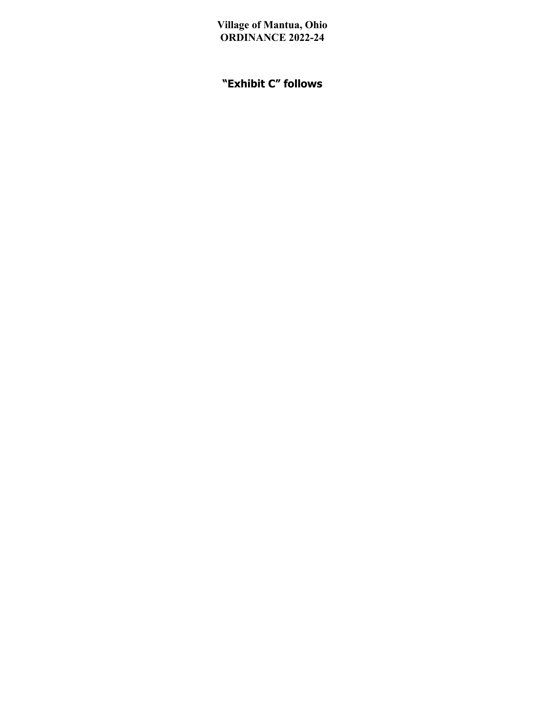# **"Exhibit C" follows**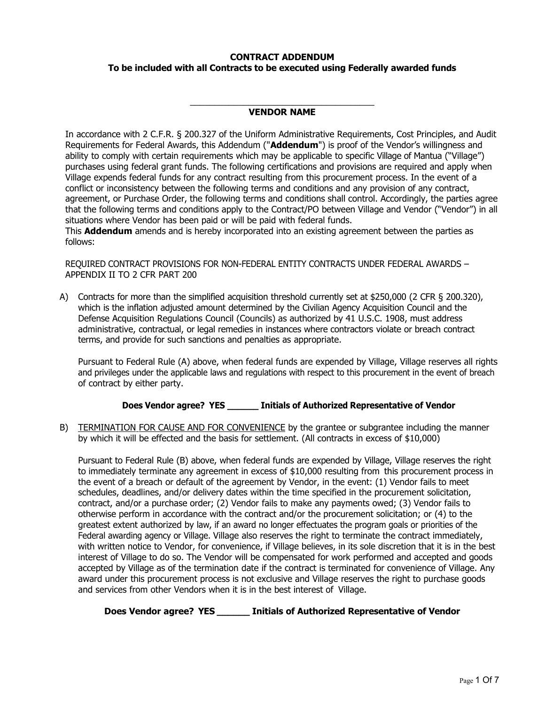#### **CONTRACT ADDENDUM**

#### **To be included with all Contracts to be executed using Federally awarded funds**

#### \_\_\_\_\_\_\_\_\_\_\_\_\_\_\_\_\_\_\_\_\_\_\_\_\_\_\_\_\_\_\_\_\_\_\_\_\_\_ **VENDOR NAME**

In accordance with 2 C.F.R. § 200.327 of the Uniform Administrative Requirements, Cost Principles, and Audit Requirements for Federal Awards, this Addendum ("**Addendum**") is proof of the Vendor's willingness and ability to comply with certain requirements which may be applicable to specific Village of Mantua ("Village") purchases using federal grant funds. The following certifications and provisions are required and apply when Village expends federal funds for any contract resulting from this procurement process. In the event of a conflict or inconsistency between the following terms and conditions and any provision of any contract, agreement, or Purchase Order, the following terms and conditions shall control. Accordingly, the parties agree that the following terms and conditions apply to the Contract/PO between Village and Vendor ("Vendor") in all situations where Vendor has been paid or will be paid with federal funds.

This **Addendum** amends and is hereby incorporated into an existing agreement between the parties as follows:

REQUIRED CONTRACT PROVISIONS FOR NON-FEDERAL ENTITY CONTRACTS UNDER FEDERAL AWARDS – APPENDIX II TO 2 CFR PART 200

A) Contracts for more than the simplified acquisition threshold currently set at \$250,000 (2 CFR § 200.320), which is the inflation adjusted amount determined by the Civilian Agency Acquisition Council and the Defense Acquisition Regulations Council (Councils) as authorized by 41 U.S.C. 1908, must address administrative, contractual, or legal remedies in instances where contractors violate or breach contract terms, and provide for such sanctions and penalties as appropriate.

Pursuant to Federal Rule (A) above, when federal funds are expended by Village, Village reserves all rights and privileges under the applicable laws and regulations with respect to this procurement in the event of breach of contract by either party.

#### **Does Vendor agree? YES \_\_\_\_\_\_ Initials of Authorized Representative of Vendor**

B) TERMINATION FOR CAUSE AND FOR CONVENIENCE by the grantee or subgrantee including the manner by which it will be effected and the basis for settlement. (All contracts in excess of \$10,000)

Pursuant to Federal Rule (B) above, when federal funds are expended by Village, Village reserves the right to immediately terminate any agreement in excess of \$10,000 resulting from this procurement process in the event of a breach or default of the agreement by Vendor, in the event: (1) Vendor fails to meet schedules, deadlines, and/or delivery dates within the time specified in the procurement solicitation, contract, and/or a purchase order; (2) Vendor fails to make any payments owed; (3) Vendor fails to otherwise perform in accordance with the contract and/or the procurement solicitation; or (4) to the greatest extent authorized by law, if an award no longer effectuates the program goals or priorities of the Federal awarding agency or Village. Village also reserves the right to terminate the contract immediately, with written notice to Vendor, for convenience, if Village believes, in its sole discretion that it is in the best interest of Village to do so. The Vendor will be compensated for work performed and accepted and goods accepted by Village as of the termination date if the contract is terminated for convenience of Village. Any award under this procurement process is not exclusive and Village reserves the right to purchase goods and services from other Vendors when it is in the best interest of Village.

**Does Vendor agree? YES \_\_\_\_\_\_ Initials of Authorized Representative of Vendor**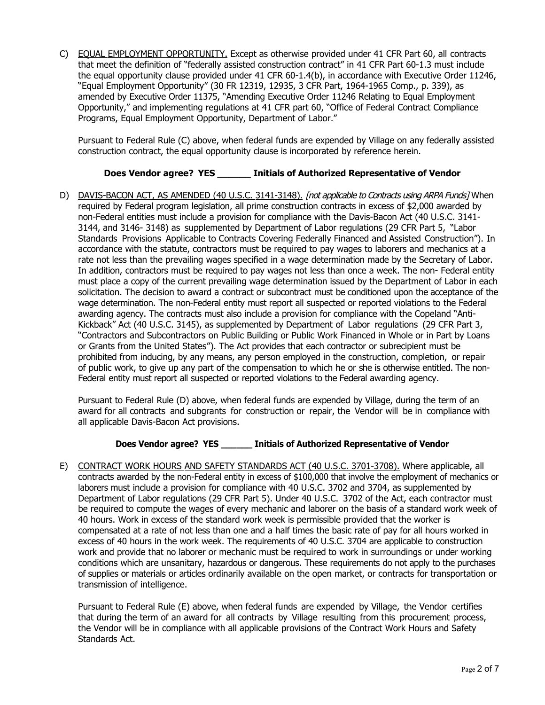C) EQUAL EMPLOYMENT OPPORTUNITY. Except as otherwise provided under 41 CFR Part 60, all contracts that meet the definition of "federally assisted construction contract" in 41 CFR Part 60-1.3 must include the equal opportunity clause provided under 41 CFR 60-1.4(b), in accordance with Executive Order 11246, "Equal Employment Opportunity" (30 FR 12319, 12935, 3 CFR Part, 1964-1965 Comp., p. 339), as amended by Executive Order 11375, "Amending Executive Order 11246 Relating to Equal Employment Opportunity," and implementing regulations at 41 CFR part 60, "Office of Federal Contract Compliance Programs, Equal Employment Opportunity, Department of Labor."

Pursuant to Federal Rule (C) above, when federal funds are expended by Village on any federally assisted construction contract, the equal opportunity clause is incorporated by reference herein.

### **Does Vendor agree? YES \_\_\_\_\_\_ Initials of Authorized Representative of Vendor**

D) DAVIS-BACON ACT, AS AMENDED (40 U.S.C. 3141-3148). *[not applicable to Contracts using ARPA Funds]* When required by Federal program legislation, all prime construction contracts in excess of \$2,000 awarded by non-Federal entities must include a provision for compliance with the Davis-Bacon Act (40 U.S.C. 3141- 3144, and 3146- 3148) as supplemented by Department of Labor regulations (29 CFR Part 5, "Labor Standards Provisions Applicable to Contracts Covering Federally Financed and Assisted Construction"). In accordance with the statute, contractors must be required to pay wages to laborers and mechanics at a rate not less than the prevailing wages specified in a wage determination made by the Secretary of Labor. In addition, contractors must be required to pay wages not less than once a week. The non- Federal entity must place a copy of the current prevailing wage determination issued by the Department of Labor in each solicitation. The decision to award a contract or subcontract must be conditioned upon the acceptance of the wage determination. The non-Federal entity must report all suspected or reported violations to the Federal awarding agency. The contracts must also include a provision for compliance with the Copeland "Anti-Kickback" Act (40 U.S.C. 3145), as supplemented by Department of Labor regulations (29 CFR Part 3, "Contractors and Subcontractors on Public Building or Public Work Financed in Whole or in Part by Loans or Grants from the United States"). The Act provides that each contractor or subrecipient must be prohibited from inducing, by any means, any person employed in the construction, completion, or repair of public work, to give up any part of the compensation to which he or she is otherwise entitled. The non-Federal entity must report all suspected or reported violations to the Federal awarding agency.

Pursuant to Federal Rule (D) above, when federal funds are expended by Village, during the term of an award for all contracts and subgrants for construction or repair, the Vendor will be in compliance with all applicable Davis-Bacon Act provisions.

### **Does Vendor agree? YES \_\_\_\_\_\_ Initials of Authorized Representative of Vendor**

E) CONTRACT WORK HOURS AND SAFETY STANDARDS ACT (40 U.S.C. 3701-3708). Where applicable, all contracts awarded by the non-Federal entity in excess of \$100,000 that involve the employment of mechanics or laborers must include a provision for compliance with 40 U.S.C. 3702 and 3704, as supplemented by Department of Labor regulations (29 CFR Part 5). Under 40 U.S.C. 3702 of the Act, each contractor must be required to compute the wages of every mechanic and laborer on the basis of a standard work week of 40 hours. Work in excess of the standard work week is permissible provided that the worker is compensated at a rate of not less than one and a half times the basic rate of pay for all hours worked in excess of 40 hours in the work week. The requirements of 40 U.S.C. 3704 are applicable to construction work and provide that no laborer or mechanic must be required to work in surroundings or under working conditions which are unsanitary, hazardous or dangerous. These requirements do not apply to the purchases of supplies or materials or articles ordinarily available on the open market, or contracts for transportation or transmission of intelligence.

Pursuant to Federal Rule (E) above, when federal funds are expended by Village, the Vendor certifies that during the term of an award for all contracts by Village resulting from this procurement process, the Vendor will be in compliance with all applicable provisions of the Contract Work Hours and Safety Standards Act.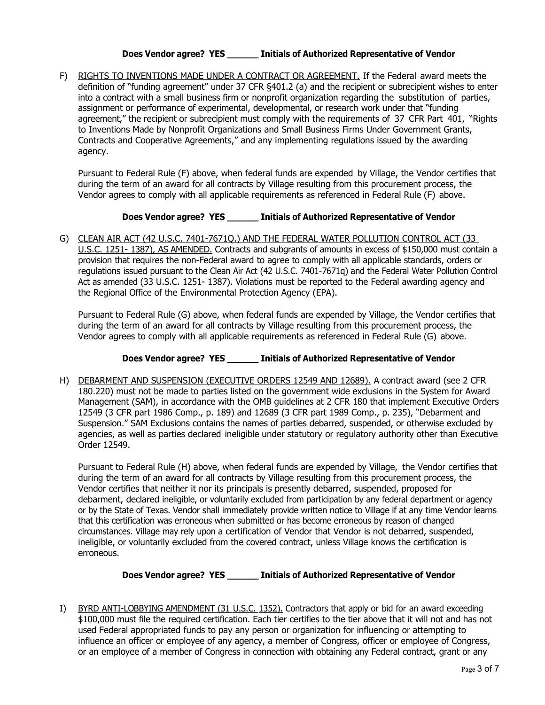### **Does Vendor agree? YES \_\_\_\_\_\_ Initials of Authorized Representative of Vendor**

F) RIGHTS TO INVENTIONS MADE UNDER A CONTRACT OR AGREEMENT. If the Federal award meets the definition of "funding agreement" under 37 CFR §401.2 (a) and the recipient or subrecipient wishes to enter into a contract with a small business firm or nonprofit organization regarding the substitution of parties, assignment or performance of experimental, developmental, or research work under that "funding agreement," the recipient or subrecipient must comply with the requirements of 37 CFR Part 401, "Rights to Inventions Made by Nonprofit Organizations and Small Business Firms Under Government Grants, Contracts and Cooperative Agreements," and any implementing regulations issued by the awarding agency.

Pursuant to Federal Rule (F) above, when federal funds are expended by Village, the Vendor certifies that during the term of an award for all contracts by Village resulting from this procurement process, the Vendor agrees to comply with all applicable requirements as referenced in Federal Rule (F) above.

### **Does Vendor agree? YES \_\_\_\_\_\_ Initials of Authorized Representative of Vendor**

G) CLEAN AIR ACT (42 U.S.C. 7401-7671Q.) AND THE FEDERAL WATER POLLUTION CONTROL ACT (33 U.S.C. 1251- 1387), AS AMENDED. Contracts and subgrants of amounts in excess of \$150,000 must contain a provision that requires the non-Federal award to agree to comply with all applicable standards, orders or regulations issued pursuant to the Clean Air Act (42 U.S.C. 7401-7671q) and the Federal Water Pollution Control Act as amended (33 U.S.C. 1251- 1387). Violations must be reported to the Federal awarding agency and the Regional Office of the Environmental Protection Agency (EPA).

Pursuant to Federal Rule (G) above, when federal funds are expended by Village, the Vendor certifies that during the term of an award for all contracts by Village resulting from this procurement process, the Vendor agrees to comply with all applicable requirements as referenced in Federal Rule (G) above.

### **Does Vendor agree? YES \_\_\_\_\_\_ Initials of Authorized Representative of Vendor**

H) DEBARMENT AND SUSPENSION (EXECUTIVE ORDERS 12549 AND 12689). A contract award (see 2 CFR 180.220) must not be made to parties listed on the government wide exclusions in the System for Award Management (SAM), in accordance with the OMB guidelines at 2 CFR 180 that implement Executive Orders 12549 (3 CFR part 1986 Comp., p. 189) and 12689 (3 CFR part 1989 Comp., p. 235), "Debarment and Suspension." SAM Exclusions contains the names of parties debarred, suspended, or otherwise excluded by agencies, as well as parties declared ineligible under statutory or regulatory authority other than Executive Order 12549.

Pursuant to Federal Rule (H) above, when federal funds are expended by Village, the Vendor certifies that during the term of an award for all contracts by Village resulting from this procurement process, the Vendor certifies that neither it nor its principals is presently debarred, suspended, proposed for debarment, declared ineligible, or voluntarily excluded from participation by any federal department or agency or by the State of Texas. Vendor shall immediately provide written notice to Village if at any time Vendor learns that this certification was erroneous when submitted or has become erroneous by reason of changed circumstances. Village may rely upon a certification of Vendor that Vendor is not debarred, suspended, ineligible, or voluntarily excluded from the covered contract, unless Village knows the certification is erroneous.

### **Does Vendor agree? YES \_\_\_\_\_\_ Initials of Authorized Representative of Vendor**

I) BYRD ANTI-LOBBYING AMENDMENT (31 U.S.C. 1352). Contractors that apply or bid for an award exceeding \$100,000 must file the required certification. Each tier certifies to the tier above that it will not and has not used Federal appropriated funds to pay any person or organization for influencing or attempting to influence an officer or employee of any agency, a member of Congress, officer or employee of Congress, or an employee of a member of Congress in connection with obtaining any Federal contract, grant or any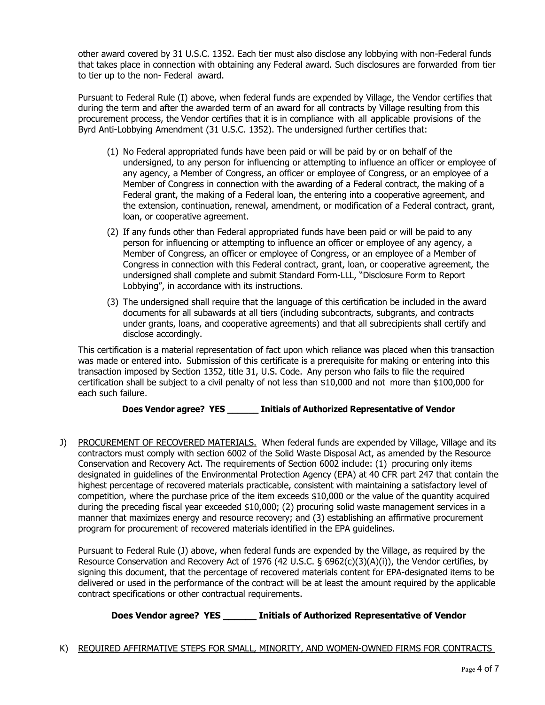other award covered by 31 U.S.C. 1352. Each tier must also disclose any lobbying with non-Federal funds that takes place in connection with obtaining any Federal award. Such disclosures are forwarded from tier to tier up to the non- Federal award.

Pursuant to Federal Rule (I) above, when federal funds are expended by Village, the Vendor certifies that during the term and after the awarded term of an award for all contracts by Village resulting from this procurement process, the Vendor certifies that it is in compliance with all applicable provisions of the Byrd Anti-Lobbying Amendment (31 U.S.C. 1352). The undersigned further certifies that:

- (1) No Federal appropriated funds have been paid or will be paid by or on behalf of the undersigned, to any person for influencing or attempting to influence an officer or employee of any agency, a Member of Congress, an officer or employee of Congress, or an employee of a Member of Congress in connection with the awarding of a Federal contract, the making of a Federal grant, the making of a Federal loan, the entering into a cooperative agreement, and the extension, continuation, renewal, amendment, or modification of a Federal contract, grant, loan, or cooperative agreement.
- (2) If any funds other than Federal appropriated funds have been paid or will be paid to any person for influencing or attempting to influence an officer or employee of any agency, a Member of Congress, an officer or employee of Congress, or an employee of a Member of Congress in connection with this Federal contract, grant, loan, or cooperative agreement, the undersigned shall complete and submit Standard Form-LLL, "Disclosure Form to Report Lobbying", in accordance with its instructions.
- (3) The undersigned shall require that the language of this certification be included in the award documents for all subawards at all tiers (including subcontracts, subgrants, and contracts under grants, loans, and cooperative agreements) and that all subrecipients shall certify and disclose accordingly.

This certification is a material representation of fact upon which reliance was placed when this transaction was made or entered into. Submission of this certificate is a prerequisite for making or entering into this transaction imposed by Section 1352, title 31, U.S. Code. Any person who fails to file the required certification shall be subject to a civil penalty of not less than \$10,000 and not more than \$100,000 for each such failure.

## **Does Vendor agree? YES \_\_\_\_\_\_ Initials of Authorized Representative of Vendor**

J) PROCUREMENT OF RECOVERED MATERIALS. When federal funds are expended by Village, Village and its contractors must comply with section 6002 of the Solid Waste Disposal Act, as amended by the Resource Conservation and Recovery Act. The requirements of Section 6002 include: (1) procuring only items designated in guidelines of the Environmental Protection Agency (EPA) at 40 CFR part 247 that contain the highest percentage of recovered materials practicable, consistent with maintaining a satisfactory level of competition, where the purchase price of the item exceeds \$10,000 or the value of the quantity acquired during the preceding fiscal year exceeded \$10,000; (2) procuring solid waste management services in a manner that maximizes energy and resource recovery; and (3) establishing an affirmative procurement program for procurement of recovered materials identified in the EPA guidelines.

Pursuant to Federal Rule (J) above, when federal funds are expended by the Village, as required by the Resource Conservation and Recovery Act of 1976 (42 U.S.C. § 6962(c)(3)(A)(i)), the Vendor certifies, by signing this document, that the percentage of recovered materials content for EPA-designated items to be delivered or used in the performance of the contract will be at least the amount required by the applicable contract specifications or other contractual requirements.

## **Does Vendor agree? YES \_\_\_\_\_\_ Initials of Authorized Representative of Vendor**

K) REQUIRED AFFIRMATIVE STEPS FOR SMALL, MINORITY, AND WOMEN-OWNED FIRMS FOR CONTRACTS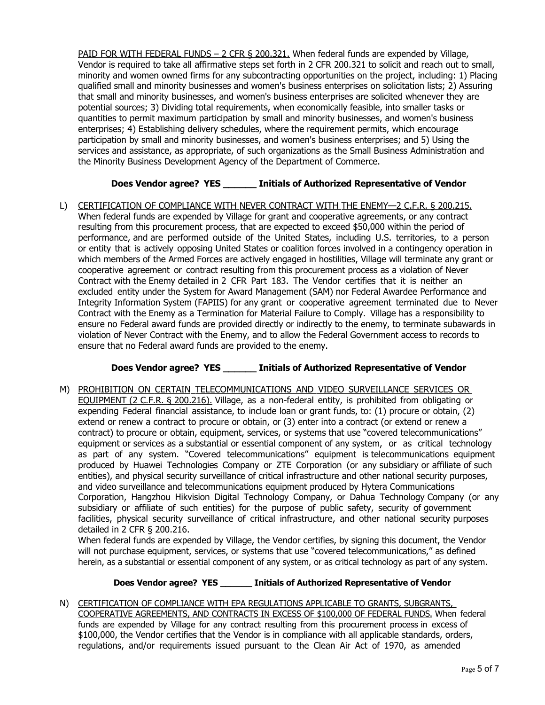PAID FOR WITH FEDERAL FUNDS – 2 CFR § 200.321. When federal funds are expended by Village, Vendor is required to take all affirmative steps set forth in 2 CFR 200.321 to solicit and reach out to small, minority and women owned firms for any subcontracting opportunities on the project, including: 1) Placing qualified small and minority businesses and women's business enterprises on solicitation lists; 2) Assuring that small and minority businesses, and women's business enterprises are solicited whenever they are potential sources; 3) Dividing total requirements, when economically feasible, into smaller tasks or quantities to permit maximum participation by small and minority businesses, and women's business enterprises; 4) Establishing delivery schedules, where the requirement permits, which encourage participation by small and minority businesses, and women's business enterprises; and 5) Using the services and assistance, as appropriate, of such organizations as the Small Business Administration and the Minority Business Development Agency of the Department of Commerce.

# **Does Vendor agree? YES \_\_\_\_\_\_ Initials of Authorized Representative of Vendor**

L) CERTIFICATION OF COMPLIANCE WITH NEVER CONTRACT WITH THE ENEMY-2 C.F.R. § 200.215. When federal funds are expended by Village for grant and cooperative agreements, or any contract resulting from this procurement process, that are expected to exceed \$50,000 within the period of performance, and are performed outside of the United States, including U.S. territories, to a person or entity that is actively opposing United States or coalition forces involved in a contingency operation in which members of the Armed Forces are actively engaged in hostilities, Village will terminate any grant or cooperative agreement or contract resulting from this procurement process as a violation of Never Contract with the Enemy detailed in 2 CFR Part 183. The Vendor certifies that it is neither an excluded entity under the System for Award Management (SAM) nor Federal Awardee Performance and Integrity Information System (FAPIIS) for any grant or cooperative agreement terminated due to Never Contract with the Enemy as a Termination for Material Failure to Comply. Village has a responsibility to ensure no Federal award funds are provided directly or indirectly to the enemy, to terminate subawards in violation of Never Contract with the Enemy, and to allow the Federal Government access to records to ensure that no Federal award funds are provided to the enemy.

## **Does Vendor agree? YES \_\_\_\_\_\_ Initials of Authorized Representative of Vendor**

M) PROHIBITION ON CERTAIN TELECOMMUNICATIONS AND VIDEO SURVEILLANCE SERVICES OR EQUIPMENT (2 C.F.R. § 200.216). Village, as a non-federal entity, is prohibited from obligating or expending Federal financial assistance, to include loan or grant funds, to: (1) procure or obtain, (2) extend or renew a contract to procure or obtain, or (3) enter into a contract (or extend or renew a contract) to procure or obtain, equipment, services, or systems that use "covered telecommunications" equipment or services as a substantial or essential component of any system, or as critical technology as part of any system. "Covered telecommunications" equipment is telecommunications equipment produced by Huawei Technologies Company or ZTE Corporation (or any subsidiary or affiliate of such entities), and physical security surveillance of critical infrastructure and other national security purposes, and video surveillance and telecommunications equipment produced by Hytera Communications Corporation, Hangzhou Hikvision Digital Technology Company, or Dahua Technology Company (or any subsidiary or affiliate of such entities) for the purpose of public safety, security of government facilities, physical security surveillance of critical infrastructure, and other national security purposes detailed in 2 CFR § 200.216.

When federal funds are expended by Village, the Vendor certifies, by signing this document, the Vendor will not purchase equipment, services, or systems that use "covered telecommunications," as defined herein, as a substantial or essential component of any system, or as critical technology as part of any system.

### **Does Vendor agree? YES \_\_\_\_\_\_ Initials of Authorized Representative of Vendor**

N) CERTIFICATION OF COMPLIANCE WITH EPA REGULATIONS APPLICABLE TO GRANTS, SUBGRANTS, COOPERATIVE AGREEMENTS, AND CONTRACTS IN EXCESS OF \$100,000 OF FEDERAL FUNDS. When federal funds are expended by Village for any contract resulting from this procurement process in excess of \$100,000, the Vendor certifies that the Vendor is in compliance with all applicable standards, orders, regulations, and/or requirements issued pursuant to the Clean Air Act of 1970, as amended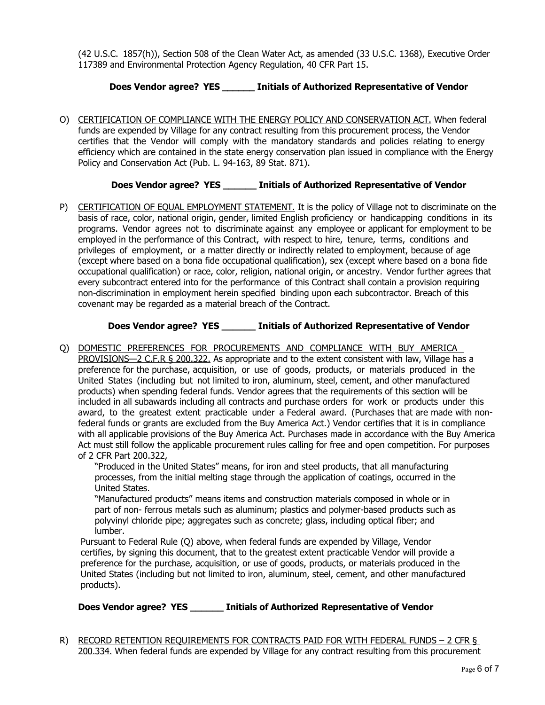(42 U.S.C. 1857(h)), Section 508 of the Clean Water Act, as amended (33 U.S.C. 1368), Executive Order 117389 and Environmental Protection Agency Regulation, 40 CFR Part 15.

### **Does Vendor agree? YES \_\_\_\_\_\_ Initials of Authorized Representative of Vendor**

O) CERTIFICATION OF COMPLIANCE WITH THE ENERGY POLICY AND CONSERVATION ACT. When federal funds are expended by Village for any contract resulting from this procurement process, the Vendor certifies that the Vendor will comply with the mandatory standards and policies relating to energy efficiency which are contained in the state energy conservation plan issued in compliance with the Energy Policy and Conservation Act (Pub. L. 94-163, 89 Stat. 871).

### **Does Vendor agree? YES \_\_\_\_\_\_ Initials of Authorized Representative of Vendor**

P) CERTIFICATION OF EQUAL EMPLOYMENT STATEMENT. It is the policy of Village not to discriminate on the basis of race, color, national origin, gender, limited English proficiency or handicapping conditions in its programs. Vendor agrees not to discriminate against any employee or applicant for employment to be employed in the performance of this Contract, with respect to hire, tenure, terms, conditions and privileges of employment, or a matter directly or indirectly related to employment, because of age (except where based on a bona fide occupational qualification), sex (except where based on a bona fide occupational qualification) or race, color, religion, national origin, or ancestry. Vendor further agrees that every subcontract entered into for the performance of this Contract shall contain a provision requiring non-discrimination in employment herein specified binding upon each subcontractor. Breach of this covenant may be regarded as a material breach of the Contract.

### **Does Vendor agree? YES \_\_\_\_\_\_ Initials of Authorized Representative of Vendor**

Q) DOMESTIC PREFERENCES FOR PROCUREMENTS AND COMPLIANCE WITH BUY AMERICA PROVISIONS—2 C.F.R § 200.322. As appropriate and to the extent consistent with law, Village has a preference for the purchase, acquisition, or use of goods, products, or materials produced in the United States (including but not limited to iron, aluminum, steel, cement, and other manufactured products) when spending federal funds. Vendor agrees that the requirements of this section will be included in all subawards including all contracts and purchase orders for work or products under this award, to the greatest extent practicable under a Federal award. (Purchases that are made with nonfederal funds or grants are excluded from the Buy America Act.) Vendor certifies that it is in compliance with all applicable provisions of the Buy America Act. Purchases made in accordance with the Buy America Act must still follow the applicable procurement rules calling for free and open competition. For purposes of 2 CFR Part 200.322,

"Produced in the United States" means, for iron and steel products, that all manufacturing processes, from the initial melting stage through the application of coatings, occurred in the United States.

"Manufactured products" means items and construction materials composed in whole or in part of non- ferrous metals such as aluminum; plastics and polymer-based products such as polyvinyl chloride pipe; aggregates such as concrete; glass, including optical fiber; and lumber.

Pursuant to Federal Rule (Q) above, when federal funds are expended by Village, Vendor certifies, by signing this document, that to the greatest extent practicable Vendor will provide a preference for the purchase, acquisition, or use of goods, products, or materials produced in the United States (including but not limited to iron, aluminum, steel, cement, and other manufactured products).

**Does Vendor agree? YES \_\_\_\_\_\_ Initials of Authorized Representative of Vendor**

R) RECORD RETENTION REQUIREMENTS FOR CONTRACTS PAID FOR WITH FEDERAL FUNDS – 2 CFR § 200.334. When federal funds are expended by Village for any contract resulting from this procurement